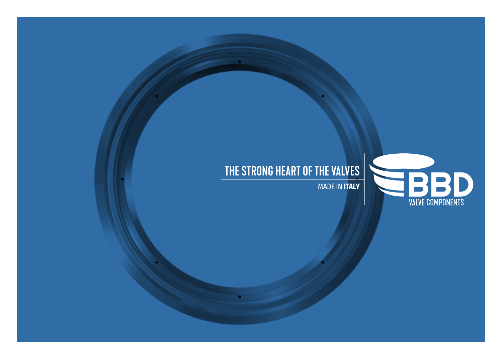# THE STRONG HEART OF THE VALVES

MADE IN **ITALY**

**EBBD**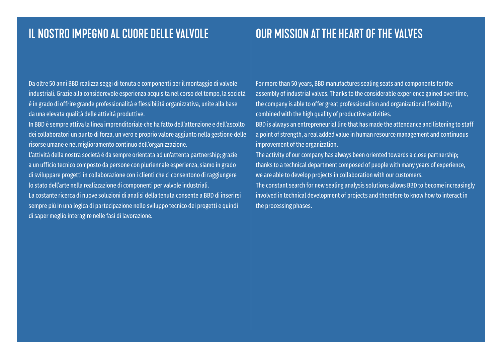### IL NOSTRO IMPEGNO AL CUORE DELLE VALVOLE USING MISSION AT THE HEART OF THE VALVES

Da oltre 50 anni BBD realizza seggi di tenuta e componenti per il montaggio di valvole industriali. Grazie alla considerevole esperienza acquisita nel corso del tempo, la società è in grado di offrire grande professionalità e flessibilità organizzativa, unite alla base da una elevata qualità delle attività produttive.

In BBD è sempre attiva la linea imprenditoriale che ha fatto dell'attenzione e dell'ascolto dei collaboratori un punto di forza, un vero e proprio valore aggiunto nella gestione delle risorse umane e nel miglioramento continuo dell'organizzazione.

L'attività della nostra società è da sempre orientata ad un'attenta partnership; grazie a un ufficio tecnico composto da persone con pluriennale esperienza, siamo in grado di sviluppare progetti in collaborazione con i clienti che ci consentono di raggiungere lo stato dell'arte nella realizzazione di componenti per valvole industriali.

La costante ricerca di nuove soluzioni di analisi della tenuta consente a BBD di inserirsi sempre più in una logica di partecipazione nello sviluppo tecnico dei progetti e quindi di saper meglio interagire nelle fasi di lavorazione.

For more than 50 years, BBD manufactures sealing seats and components for the assembly of industrial valves. Thanks to the considerable experience gained over time, the company is able to offer great professionalism and organizational flexibility, combined with the high quality of productive activities.

BBD is always an entrepreneurial line that has made the attendance and listening to staff a point of strength, a real added value in human resource management and continuous improvement of the organization.

The activity of our company has always been oriented towards a close partnership; thanks to a technical department composed of people with many years of experience, we are able to develop projects in collaboration with our customers. The constant search for new sealing analysis solutions allows BBD to become increasingly involved in technical development of projects and therefore to know how to interact in the processing phases.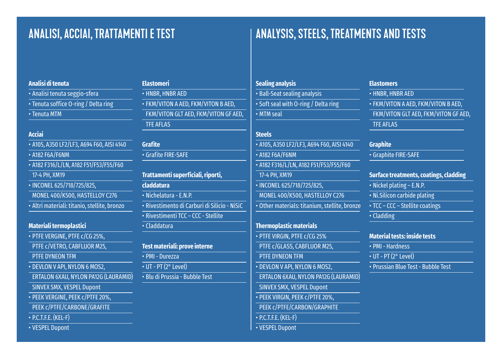## ANALISI, ACCIAI, TRATTAMENTI E TEST ANALYSIS, STEELS, TREATMENTS AND TESTS

#### **Analisi di tenuta**

- Analisi tenuta seggio-sfera
- Tenuta soffice O-ring / Delta ring
- Tenuta MTM

#### **Acciai**

• A105, A350 LF2/LF3, A694 F60, AISI 4140 • A182 F6A/F6NM • A182 F316/L/LN, A182 F51/F53/F55/F60 17-4 PH, XM19 • INCONEL 625/718/725/825, MONEL 400/K500, HASTELLOY C276 • Altri materiali: titanio, stellite, bronzo

#### **Materiali termoplastici**

- PTFE VERGINE, PTFE c/CG 25%, PTFE c/VETRO, CABFLUOR M25, PTFE DYNEON TFM • DEVLON V API, NYLON 6 MOS2, ERTALON 6XAU, NYLON PA12G (LAURAMID) SINVEX SMX, VESPEL Dupont • PEEK VERGINE, PEEK c/PTFE 20%, PEEK c/PTFE/CARBONE/GRAFITE
- P.C.T.F.E. (KEL-F)
- VESPEL Dupont

| <b>Elastomeri</b>                    |
|--------------------------------------|
| • HNBR. HNBR AED                     |
| • FKM/VITON A AED, FKM/VITON B AED,  |
| FKM/VITON GLT AED, FKM/VITON GF AED, |
| <b>TFE AFLAS</b>                     |

### **Grafite**

• Grafite FIRE-SAFE

**Trattamenti superficiali, riporti, claddatura** • Nichelatura - E.N.P. • Rivestimento di Carburi di Silicio - NiSiC • Rivestimenti TCC – CCC - Stellite • Claddatura

### **Test materiali: prove interne** • PMI - Durezza • UT - PT (2° Level) • Blu di Prussia - Bubble Test

**Sealing analysis** • Ball-Seat sealing analysis • Soft seal with O-ring / Delta ring • MTM seal

#### **Steels**

- A105, A350 LF2/LF3, A694 F60, AISI 4140 • A182 F6A/F6NM • A182 F316/L/LN, A182 F51/F53/F55/F60 17-4 PH, XM19 • INCONEL 625/718/725/825, MONEL 400/K500, HASTELLOY C276 • Other materials: titanium, stellite, bronze **Thermoplastic materials** • PTFE VIRGIN, PTFE c/CG 25% PTFE c/GLASS, CABFLUOR M25, PTFE DYNEON TFM • DEVLON V API, NYLON 6 MOS2, ERTALON 6XAU, NYLON PA12G (LAURAMID) SINVEX SMX, VESPEL Dupont • PEEK VIRGIN, PEEK c/PTFE 20%, PEEK c/PTFE/CARBON/GRAPHITE
- P.C.T.F.E. (KEL-F)
- VESPEL Dupont

#### **Elastomers**

• HNBR, HNBR AED • FKM/VITON A AED, FKM/VITON B AED, FKM/VITON GLT AED, FKM/VITON GF AED, TFE AFLAS

#### **Graphite**

• Graphite FIRE-SAFE

#### **Surface treatments, coatings, cladding**

- Nickel plating E.N.P.
- Ni.Silicon carbide plating
- TCC CCC Stellite coatings

• Cladding

#### **Material tests: inside tests**

• PMI - Hardness

- $\overline{\cdot \text{ UT } \cdot \text{ PT } (2^{\circ} \text{ Level})}$
- Prussian Blue Test Bubble Test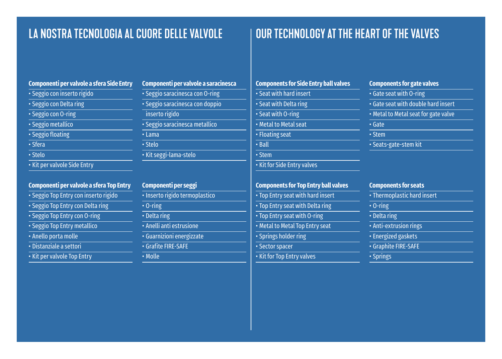### LA NOSTRA TECNOLOGIA AL CUORE DELLE VALVOLE | OUR TECHNOLOGY AT THE HEART OF THE VALVES

### **Componenti per valvole a sfera Side Entry** • Seggio con inserto rigido • Seggio con Delta ring

- Seggio con O-ring
- Seggio metallico
- Seggio floating
- Sfera
- Stelo
- Kit per valvole Side Entry

#### **Componenti per valvole a sfera Top Entry**

- Seggio Top Entry con inserto rigido
- Seggio Top Entry con Delta ring
- Seggio Top Entry con O-ring
- Seggio Top Entry metallico
- Anello porta molle
- Distanziale a settori
- Kit per valvole Top Entry

| Componenti per valvole a saracinesca |
|--------------------------------------|
| · Seggio saracinesca con O-ring      |
| · Seggio saracinesca con doppio      |
| inserto rigido                       |
| · Seggio saracinesca metallico       |
| $\cdot$ Lama                         |
| · Stelo                              |
| · Kit seggi-lama-stelo               |
|                                      |

| Componenti per seggi           |
|--------------------------------|
| · Inserto rigido termoplastico |
| $\cdot$ 0-ring                 |
| • Delta ring                   |
| • Anelli anti estrusione       |
| · Guarnizioni energizzate      |
| · Grafite FIRE-SAFE            |
| $\cdot$ Molle                  |

### **Components for Side Entry ball valves** • Seat with hard insert • Seat with Delta ring • Seat with O-ring • Metal to Metal seat • Floating seat • Ball • Stem • Kit for Side Entry valves **Components for Top Entry ball valves**

- Top Entry seat with hard insert • Top Entry seat with Delta ring • Top Entry seat with O-ring • Metal to Metal Top Entry seat • Springs holder ring
- Sector spacer
- 
- Kit for Top Entry valves

#### **Components for gate valves**

- Gate seat with O-ring
- Gate seat with double hard insert
- Metal to Metal seat for gate valve
- Gate
- Stem
- Seats-gate-stem kit

#### **Components for seats**

- Thermoplastic hard insert
- O-ring
- Delta ring
- Anti-extrusion rings
- Energized gaskets
- Graphite FIRE-SAFE
- Springs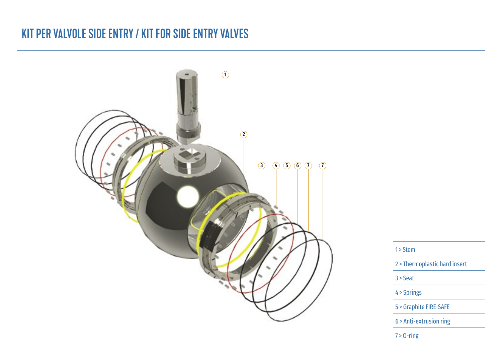## KIT PER VALVOLE SIDE ENTRY / KIT FOR SIDE ENTRY VALVES



| $1 >$ Stem                    |
|-------------------------------|
| 2 > Thermoplastic hard insert |
| $3 >$ Seat                    |
| 4 > Springs                   |
| 5 > Graphite FIRE-SAFE        |
| 6 > Anti-extrusion ring       |
| $7 > 0$ -ring                 |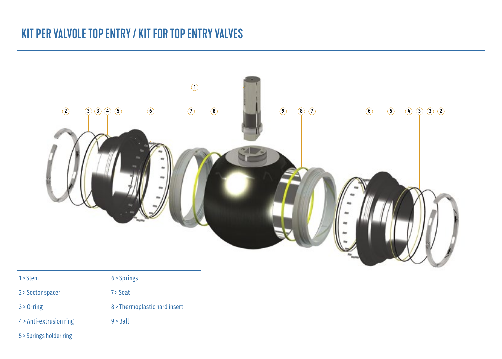## KIT PER VALVOLE TOP ENTRY / KIT FOR TOP ENTRY VALVES

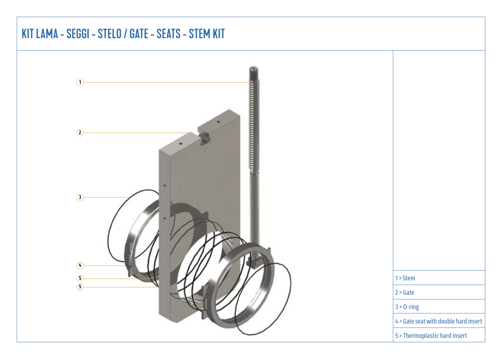### KIT LAMA - SEGGI - STELO / GATE - SEATS - STEM KIT

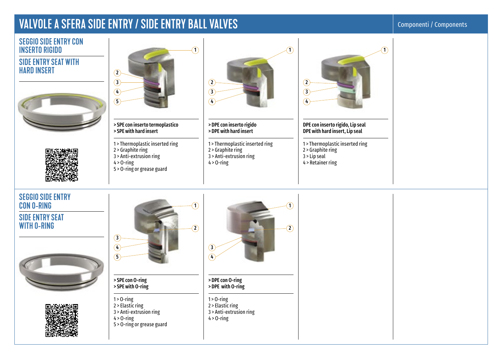### VALVOLE A SFERA SIDE ENTRY / SIDE ENTRY BALL VALVES

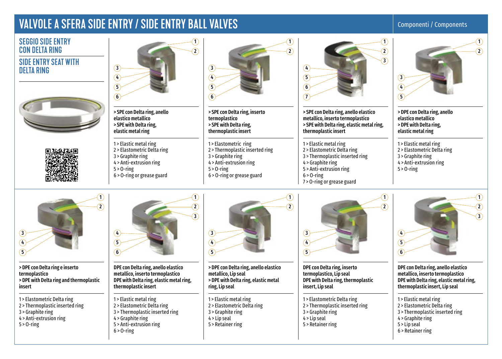### VALVOLE A SFERA SIDE ENTRY / SIDE ENTRY BALL VALVES

#### Componenti / Components



- 2 > Thermoplastic inserted ring
- 3 > Graphite ring
- 
- 4 > Anti-extrusion ring
- 5 > O-ring
- 4 > Graphite ring 5 > Anti-extrusion ring
	- $6 > 0$ -ring

2 > Elastometric Delta ring 3 > Thermoplastic inserted ring

- 1 > Elastic metal ring
- 2 > Elastometric Delta ring
- 3 > Graphite ring
- 4 > Lip seal
- 5 > Retainer ring
- 1 > Elastometric Delta ring 2 > Thermoplastic inserted ring 3 > Graphite ring  $4 >$  Lip seal 5 > Retainer ring
- 1 > Elastic metal ring
- 2 > Elastometric Delta ring
- 3 > Thermoplastic inserted ring
- 4 > Graphite ring
- 5 > Lip seal
- 6 > Retainer ring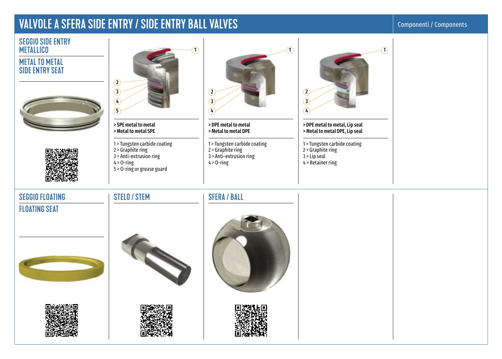### VALVOLE A SFERA SIDE ENTRY / SIDE ENTRY BALL VALVES

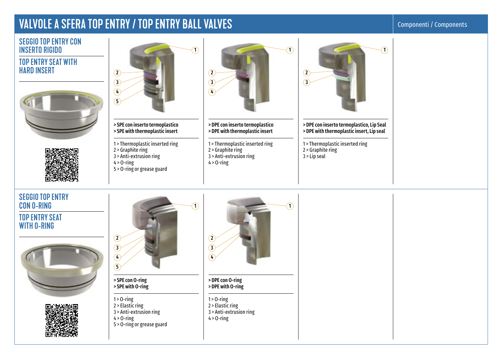### VALVOLE A SFERA TOP ENTRY / TOP ENTRY BALL VALVES

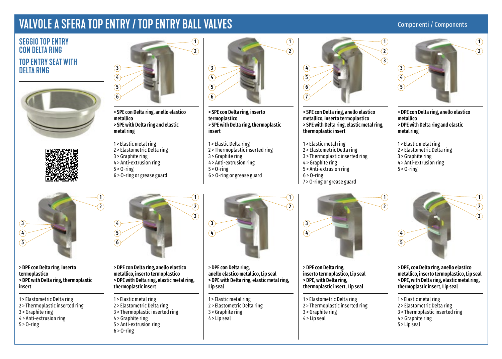### VALVOLE A SFERA TOP ENTRY / TOP ENTRY BALL VALVES

#### Componenti / Components

#### SEGGIO TOP ENTRY CON DELTA RING TOP ENTRY SEAT WITH DELTA RING







1

 $\widehat{\mathbf{2}}$ 

 $\widehat{\mathbf{1}}$ 

 $\Omega$  $\widehat{\mathcal{L}}$ 

> SPE con Delta ring, anello elastico metallico > SPE with Delta ring and elastic metal ring

- 1 > Elastic metal ring
- 2 > Elastometric Delta ring
- 3 > Graphite ring
- 4 > Anti-extrusion ring
- $5 > 0$ -ring
- 6 > O-ring or grease guard



1

2

1

2

> SPE con Delta ring, inserto termoplastico > SPE with Delta ring, thermoplastic insert

1 > Elastic Delta ring 2 > Thermoplastic inserted ring 3 > Graphite ring 4 > Anti-extrusion ring  $5 > 0$ -ring 6 > O-ring or grease guard



> SPE con Delta ring, anello elastico metallico, inserto termoplastico > SPE with Delta ring, elastic metal ring, thermoplastic insert

1 > Elastic metal ring 2 > Elastometric Delta ring 3 > Thermoplastic inserted ring 4 > Graphite ring 5 > Anti-extrusion ring  $6 > 0$ -ring 7 > O-ring or grease guard



> DPE con Delta ring, anello elastico metallico > DPE with Delta ring and elastic metal ring

1 > Elastic metal ring 2 > Elastometric Delta ring 3 > Graphite ring 4 > Anti-extrusion ring  $5 > 0$ -ring

 $\bigcap$ 

ົ

 $\cap$  $\sqrt{3}$ 4  $\sqrt{5}$  $\sigma$ 

> DPE con Delta ring, inserto termoplastico > DPE with Delta ring, thermoplastic insert

- 1 > Elastometric Delta ring 2 > Thermoplastic inserted ring
- 3 > Graphite ring
- 4 > Anti-extrusion ring
- 5 > O-ring
- 



> DPE con Delta ring, anello elastico metallico, inserto termoplastico > DPE with Delta ring, elastic metal ring, thermoplastic insert

- 1 > Elastic metal ring
- 2 > Elastometric Delta ring 3 > Thermoplastic inserted ring
- 4 > Graphite ring
- 5 > Anti-extrusion ring
- 
- $6 > 0$ -ring



> DPE con Delta ring, anello elastico metallico, Lip seal > DPE with Delta ring, elastic metal ring, Lip seal

1 > Elastic metal ring 2 > Elastometric Delta ring 3 > Graphite ring 4 > Lip seal



> DPE con Delta ring, inserto termoplastico, Lip seal > DPE, with Delta ring, thermoplastic insert, Lip seal

1 > Elastometric Delta ring 2 > Thermoplastic inserted ring 3 > Graphite ring  $4 >$  Lip seal



> DPE, con Delta ring, anello elastico metallico, inserto termoplastico, Lip seal > DPE, with Delta ring, elastic metal ring, thermoplastic insert, Lip seal

- 1 > Elastic metal ring
- 2 > Elastometric Delta ring
- 3 > Thermoplastic inserted ring 4 > Graphite ring
- 
- 5 > Lip seal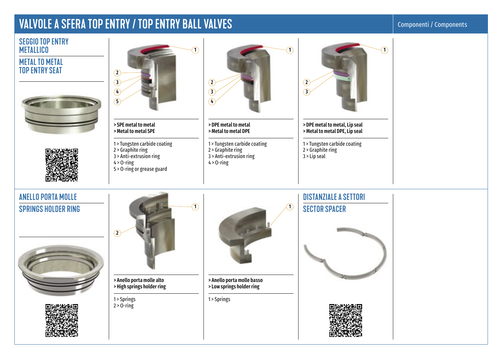### VALVOLE A SFERA TOP ENTRY / TOP ENTRY BALL VALVES

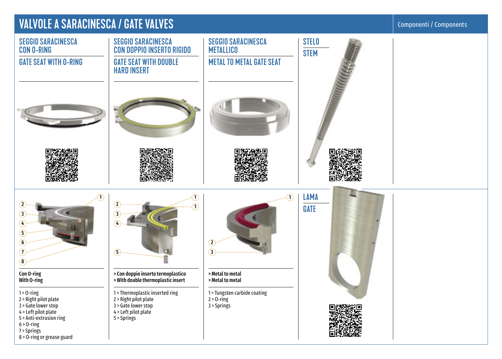### VALVOLE A SARACINESCA / GATE VALVES

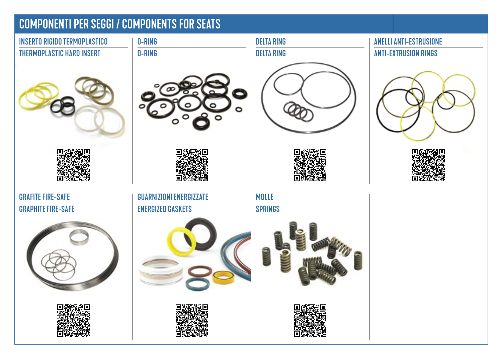## COMPONENTI PER SEGGI / COMPONENTS FOR SEATS